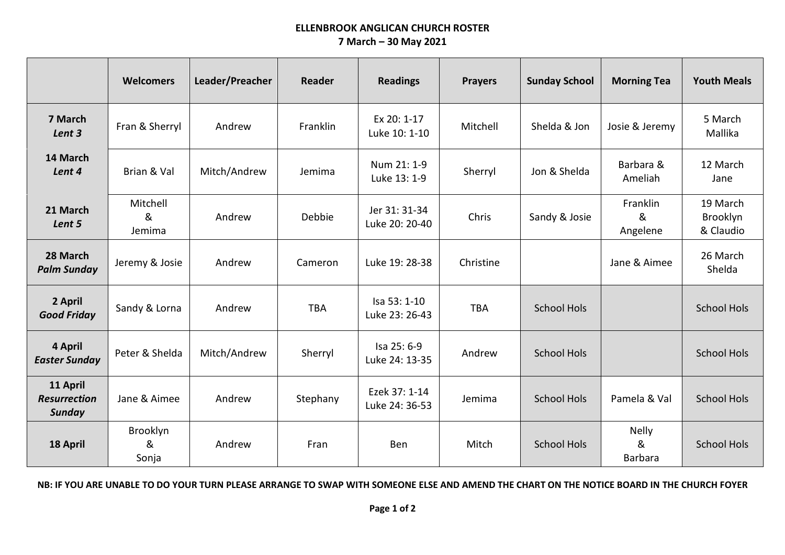## **ELLENBROOK ANGLICAN CHURCH ROSTER 7 March – 30 May 2021**

|                                           | <b>Welcomers</b>        | Leader/Preacher | <b>Reader</b> | <b>Readings</b>                 | <b>Prayers</b> | <b>Sunday School</b> | <b>Morning Tea</b>                  | <b>Youth Meals</b>                |
|-------------------------------------------|-------------------------|-----------------|---------------|---------------------------------|----------------|----------------------|-------------------------------------|-----------------------------------|
| 7 March<br>Lent 3                         | Fran & Sherryl          | Andrew          | Franklin      | Ex 20: 1-17<br>Luke 10: 1-10    | Mitchell       | Shelda & Jon         | Josie & Jeremy                      | 5 March<br>Mallika                |
| 14 March<br>Lent 4                        | Brian & Val             | Mitch/Andrew    | Jemima        | Num 21: 1-9<br>Luke 13: 1-9     | Sherryl        | Jon & Shelda         | Barbara &<br>Ameliah                | 12 March<br>Jane                  |
| 21 March<br>Lent 5                        | Mitchell<br>&<br>Jemima | Andrew          | Debbie        | Jer 31: 31-34<br>Luke 20: 20-40 | Chris          | Sandy & Josie        | Franklin<br>&<br>Angelene           | 19 March<br>Brooklyn<br>& Claudio |
| 28 March<br><b>Palm Sunday</b>            | Jeremy & Josie          | Andrew          | Cameron       | Luke 19: 28-38                  | Christine      |                      | Jane & Aimee                        | 26 March<br>Shelda                |
| 2 April<br><b>Good Friday</b>             | Sandy & Lorna           | Andrew          | <b>TBA</b>    | Isa 53: 1-10<br>Luke 23: 26-43  | <b>TBA</b>     | <b>School Hols</b>   |                                     | <b>School Hols</b>                |
| 4 April<br><b>Easter Sunday</b>           | Peter & Shelda          | Mitch/Andrew    | Sherryl       | Isa 25: 6-9<br>Luke 24: 13-35   | Andrew         | <b>School Hols</b>   |                                     | <b>School Hols</b>                |
| 11 April<br><b>Resurrection</b><br>Sunday | Jane & Aimee            | Andrew          | Stephany      | Ezek 37: 1-14<br>Luke 24: 36-53 | Jemima         | <b>School Hols</b>   | Pamela & Val                        | <b>School Hols</b>                |
| 18 April                                  | Brooklyn<br>&<br>Sonja  | Andrew          | Fran          | Ben                             | Mitch          | <b>School Hols</b>   | <b>Nelly</b><br>&<br><b>Barbara</b> | <b>School Hols</b>                |

**NB: IF YOU ARE UNABLE TO DO YOUR TURN PLEASE ARRANGE TO SWAP WITH SOMEONE ELSE AND AMEND THE CHART ON THE NOTICE BOARD IN THE CHURCH FOYER**